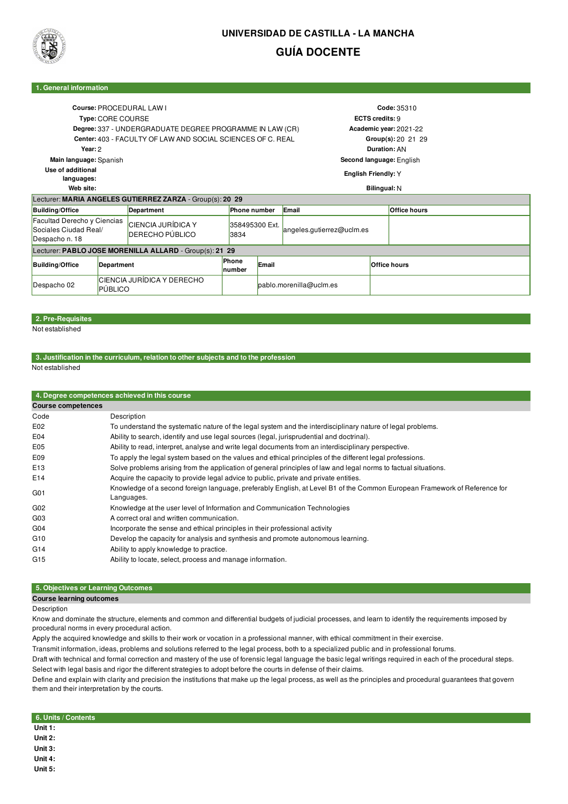

# **UNIVERSIDAD DE CASTILLA - LA MANCHA GUÍA DOCENTE**

### **1. General information**

| Course: PROCEDURAL LAW I<br>Type: CORE COURSE<br>Degree: 337 - UNDERGRADUATE DEGREE PROGRAMME IN LAW (CR)<br>Center: 403 - FACULTY OF LAW AND SOCIAL SCIENCES OF C. REAL<br>Year: 2<br>Main language: Spanish |                                       |                                                           |                         |       | Code: 35310<br><b>ECTS credits: 9</b><br>Academic year: 2021-22<br>Group(s): 20 21 29<br>Duration: AN<br>Second language: English |                     |                     |  |
|---------------------------------------------------------------------------------------------------------------------------------------------------------------------------------------------------------------|---------------------------------------|-----------------------------------------------------------|-------------------------|-------|-----------------------------------------------------------------------------------------------------------------------------------|---------------------|---------------------|--|
| Use of additional<br>languages:                                                                                                                                                                               |                                       |                                                           |                         |       |                                                                                                                                   | English Friendly: Y |                     |  |
| Web site:<br>Bilingual: N                                                                                                                                                                                     |                                       |                                                           |                         |       |                                                                                                                                   |                     |                     |  |
|                                                                                                                                                                                                               |                                       | Lecturer: MARIA ANGELES GUTIERREZ ZARZA - Group(s): 20 29 |                         |       |                                                                                                                                   |                     |                     |  |
| <b>Building/Office</b><br>Department                                                                                                                                                                          |                                       |                                                           | <b>Phone number</b>     |       | Email                                                                                                                             |                     | <b>Office hours</b> |  |
| Facultad Derecho y Ciencias<br>Sociales Ciudad Real/<br>Despacho n. 18                                                                                                                                        |                                       | CIENCIA JURÍDICA Y<br>DERECHO PÚBLICO                     | 358495300 Ext.<br>3834  |       | angeles.gutierrez@uclm.es                                                                                                         |                     |                     |  |
| Lecturer: PABLO JOSE MORENILLA ALLARD - Group(s): 21 29                                                                                                                                                       |                                       |                                                           |                         |       |                                                                                                                                   |                     |                     |  |
| <b>Building/Office</b>                                                                                                                                                                                        | Department                            |                                                           | Phone<br>number         | Email |                                                                                                                                   |                     | <b>Office hours</b> |  |
| Despacho 02                                                                                                                                                                                                   | CIENCIA JURÍDICA Y DERECHO<br>PÚBLICO |                                                           | pablo.morenilla@uclm.es |       |                                                                                                                                   |                     |                     |  |

## **2. Pre-Requisites**

Not established

### **3. Justification in the curriculum, relation to other subjects and to the profession**

Not established

|                           | 4. Degree competences achieved in this course                                                                                           |
|---------------------------|-----------------------------------------------------------------------------------------------------------------------------------------|
| <b>Course competences</b> |                                                                                                                                         |
| Code                      | Description                                                                                                                             |
| E02                       | To understand the systematic nature of the legal system and the interdisciplinary nature of legal problems.                             |
| E <sub>04</sub>           | Ability to search, identify and use legal sources (legal, jurisprudential and doctrinal).                                               |
| E05                       | Ability to read, interpret, analyse and write legal documents from an interdisciplinary perspective.                                    |
| E09                       | To apply the legal system based on the values and ethical principles of the different legal professions.                                |
| E <sub>13</sub>           | Solve problems arising from the application of general principles of law and legal norms to factual situations.                         |
| E14                       | Acquire the capacity to provide legal advice to public, private and private entities.                                                   |
| G <sub>01</sub>           | Knowledge of a second foreign language, preferably English, at Level B1 of the Common European Framework of Reference for<br>Languages. |
| G <sub>02</sub>           | Knowledge at the user level of Information and Communication Technologies                                                               |
| G <sub>03</sub>           | A correct oral and written communication.                                                                                               |
| G <sub>04</sub>           | Incorporate the sense and ethical principles in their professional activity                                                             |
| G10                       | Develop the capacity for analysis and synthesis and promote autonomous learning.                                                        |
| G14                       | Ability to apply knowledge to practice.                                                                                                 |
| G <sub>15</sub>           | Ability to locate, select, process and manage information.                                                                              |

### **5. Objectives or Learning Outcomes**

**Course learning outcomes**

#### Description

Know and dominate the structure, elements and common and differential budgets of judicial processes, and learn to identify the requirements imposed by procedural norms in every procedural action.

Apply the acquired knowledge and skills to their work or vocation in a professional manner, with ethical commitment in their exercise.

Transmit information, ideas, problems and solutions referred to the legal process, both to a specialized public and in professional forums.

Draft with technical and formal correction and mastery of the use of forensic legal language the basic legal writings required in each of the procedural steps. Select with legal basis and rigor the different strategies to adopt before the courts in defense of their claims.

Define and explain with clarity and precision the institutions that make up the legal process, as well as the principles and procedural guarantees that govern them and their interpretation by the courts.

#### **6. Units / Contents**

**Unit 1:**

**Unit 2:**

**Unit 3:**

**Unit 4: Unit 5:**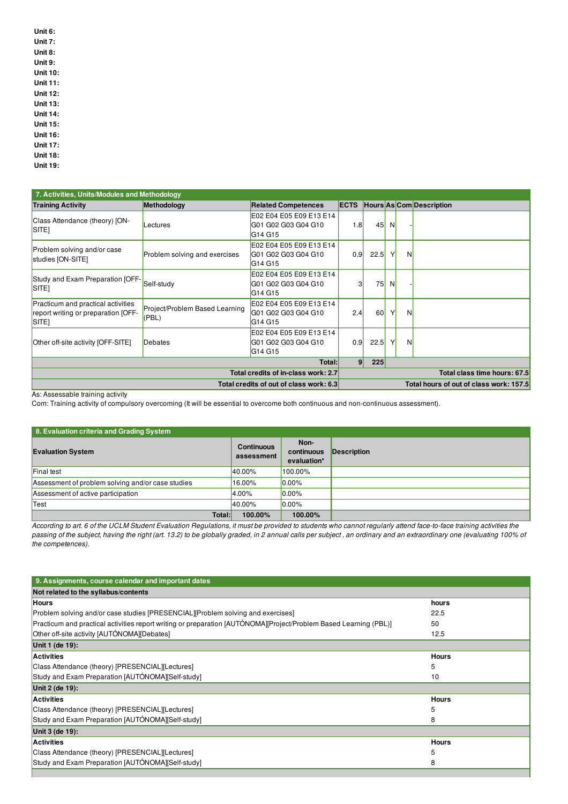- **Unit 6:**
- **Unit 7: Unit 8:**
- **Unit 9:**
- **Unit 10:**
- **Unit 11:**
- **Unit 12:**
- **Unit 13:**
- **Unit 14:**
- **Unit 15:**
- **Unit 16:**
- **Unit 17:**
- **Unit 18:**
- **Unit 19:**

| 7. Activities, Units/Modules and Methodology                                                   |                                         |                                                                                   |                  |                                         |                              |   |                          |  |  |
|------------------------------------------------------------------------------------------------|-----------------------------------------|-----------------------------------------------------------------------------------|------------------|-----------------------------------------|------------------------------|---|--------------------------|--|--|
| <b>Training Activity</b>                                                                       | Methodology                             | <b>Related Competences</b>                                                        | <b>ECTS</b>      |                                         |                              |   | Hours As Com Description |  |  |
| Class Attendance (theory) [ON-<br>SITE <sub>1</sub>                                            | Lectures                                | E02 E04 E05 E09 E13 E14<br>G01 G02 G03 G04 G10<br>G <sub>14</sub> G <sub>15</sub> | 1.8              | 45                                      | <sup>N</sup>                 |   |                          |  |  |
| Problem solving and/or case<br>studies [ON-SITE]                                               | Problem solving and exercises           | E02 E04 E05 E09 E13 E14<br>G01 G02 G03 G04 G10<br>G <sub>14</sub> G <sub>15</sub> | 0.9 <sub>l</sub> | 22.5                                    | Y                            | N |                          |  |  |
| Study and Exam Preparation [OFF-<br>SITE <sub>1</sub>                                          | Self-study                              | E02 E04 E05 E09 E13 E14<br>G01 G02 G03 G04 G10<br>G14 G15                         | 3                | 75                                      | <sup>N</sup>                 |   |                          |  |  |
| Practicum and practical activities<br>report writing or preparation [OFF-<br>SITE <sub>1</sub> | Project/Problem Based Learning<br>(PBL) | E02 E04 E05 E09 E13 E14<br>G01 G02 G03 G04 G10<br>G14 G15                         | 2.4              | 60                                      | Y                            | N |                          |  |  |
| Other off-site activity [OFF-SITE]                                                             | Debates                                 | E02 E04 E05 E09 E13 E14<br>G01 G02 G03 G04 G10<br>G <sub>14</sub> G <sub>15</sub> | 0.9              | 22.5                                    | Y                            | N |                          |  |  |
|                                                                                                | 9 <br>Total:                            | 225                                                                               |                  |                                         |                              |   |                          |  |  |
| Total credits of in-class work: 2.7                                                            |                                         |                                                                                   |                  |                                         | Total class time hours: 67.5 |   |                          |  |  |
| Total credits of out of class work: 6.3                                                        |                                         |                                                                                   |                  | Total hours of out of class work: 157.5 |                              |   |                          |  |  |

As: Assessable training activity

Com: Training activity of compulsory overcoming (It will be essential to overcome both continuous and non-continuous assessment).

| 8. Evaluation criteria and Grading System         |                                 |                                   |             |  |  |  |
|---------------------------------------------------|---------------------------------|-----------------------------------|-------------|--|--|--|
| <b>Evaluation System</b>                          | <b>Continuous</b><br>assessment | Non-<br>continuous<br>evaluation* | Description |  |  |  |
| Final test                                        | 40.00%                          | 100.00%                           |             |  |  |  |
| Assessment of problem solving and/or case studies | 16.00%                          | $0.00\%$                          |             |  |  |  |
| Assessment of active participation                | 4.00%                           | $0.00\%$                          |             |  |  |  |
| Test                                              | 40.00%                          | $0.00\%$                          |             |  |  |  |
| Total:                                            | 100.00%                         | 100.00%                           |             |  |  |  |

According to art. 6 of the UCLM Student Evaluation Regulations, it must be provided to students who cannot regularly attend face-to-face training activities the passing of the subject, having the right (art. 13.2) to be globally graded, in 2 annual calls per subject, an ordinary and an extraordinary one (evaluating 100% of *the competences).*

| 9. Assignments, course calendar and important dates                                                               |              |
|-------------------------------------------------------------------------------------------------------------------|--------------|
| Not related to the syllabus/contents                                                                              |              |
| <b>Hours</b>                                                                                                      | hours        |
| Problem solving and/or case studies [PRESENCIAL][Problem solving and exercises]                                   | 22.5         |
| Practicum and practical activities report writing or preparation [AUTÓNOMA][Project/Problem Based Learning (PBL)] | 50           |
| Other off-site activity [AUTÓNOMA][Debates]                                                                       | 12.5         |
| Unit 1 (de 19):                                                                                                   |              |
| <b>Activities</b>                                                                                                 | <b>Hours</b> |
| Class Attendance (theory) [PRESENCIAL][Lectures]                                                                  | 5            |
| Study and Exam Preparation [AUTÓNOMA][Self-study]                                                                 | 10           |
| Unit 2 (de 19):                                                                                                   |              |
| <b>Activities</b>                                                                                                 | <b>Hours</b> |
| Class Attendance (theory) [PRESENCIAL][Lectures]                                                                  | 5            |
| Study and Exam Preparation [AUTÓNOMA][Self-study]                                                                 | 8            |
| Unit 3 (de 19):                                                                                                   |              |
| <b>Activities</b>                                                                                                 | <b>Hours</b> |
| Class Attendance (theory) [PRESENCIAL][Lectures]                                                                  | 5            |
| Study and Exam Preparation [AUTÓNOMA][Self-study]                                                                 | 8            |
|                                                                                                                   |              |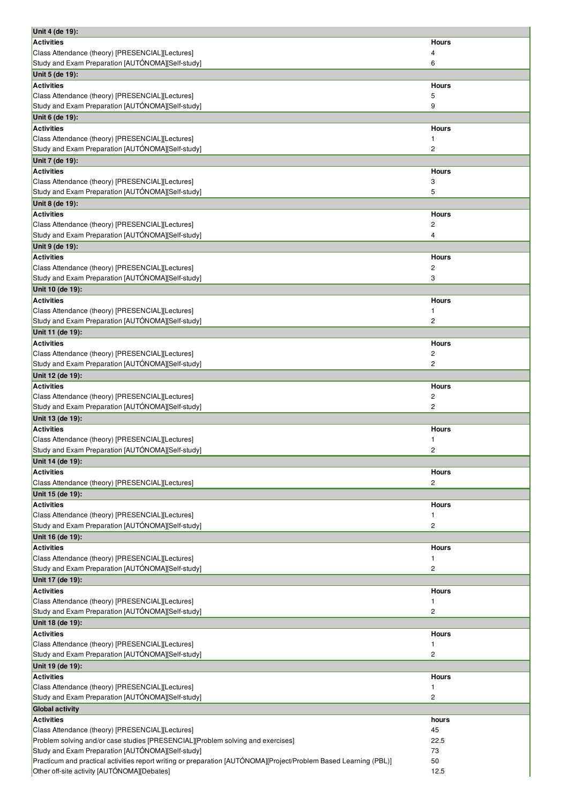| Unit 4 (de 19):                                                                                                                         |                |
|-----------------------------------------------------------------------------------------------------------------------------------------|----------------|
| <b>Activities</b>                                                                                                                       | Hours          |
| Class Attendance (theory) [PRESENCIAL][Lectures]                                                                                        | 4              |
| Study and Exam Preparation [AUTÓNOMA][Self-study]                                                                                       | 6              |
| Unit 5 (de 19):                                                                                                                         |                |
| Activities                                                                                                                              | <b>Hours</b>   |
| Class Attendance (theory) [PRESENCIAL][Lectures]                                                                                        | 5              |
| Study and Exam Preparation [AUTÓNOMA][Self-study]                                                                                       | 9              |
| Unit 6 (de 19):                                                                                                                         |                |
| <b>Activities</b>                                                                                                                       | <b>Hours</b>   |
|                                                                                                                                         | 1              |
| Class Attendance (theory) [PRESENCIAL][Lectures]                                                                                        |                |
| Study and Exam Preparation [AUTÓNOMA][Self-study]                                                                                       | $\overline{c}$ |
| Unit 7 (de 19):                                                                                                                         |                |
| Activities                                                                                                                              | Hours          |
| Class Attendance (theory) [PRESENCIAL][Lectures]                                                                                        | 3              |
| Study and Exam Preparation [AUTÓNOMA][Self-study]                                                                                       | 5              |
| Unit 8 (de 19):                                                                                                                         |                |
| <b>Activities</b>                                                                                                                       | <b>Hours</b>   |
| Class Attendance (theory) [PRESENCIAL][Lectures]                                                                                        | $\overline{c}$ |
| Study and Exam Preparation [AUTÓNOMA][Self-study]                                                                                       | 4              |
|                                                                                                                                         |                |
| Unit 9 (de 19):                                                                                                                         |                |
| <b>Activities</b>                                                                                                                       | <b>Hours</b>   |
| Class Attendance (theory) [PRESENCIAL][Lectures]                                                                                        | $\overline{c}$ |
| Study and Exam Preparation [AUTÓNOMA][Self-study]                                                                                       | 3              |
| Unit 10 (de 19):                                                                                                                        |                |
| <b>Activities</b>                                                                                                                       | <b>Hours</b>   |
| Class Attendance (theory) [PRESENCIAL][Lectures]                                                                                        | 1              |
| Study and Exam Preparation [AUTÓNOMA][Self-study]                                                                                       | 2              |
|                                                                                                                                         |                |
| Unit 11 (de 19):                                                                                                                        |                |
| <b>Activities</b>                                                                                                                       | <b>Hours</b>   |
| Class Attendance (theory) [PRESENCIAL][Lectures]                                                                                        | $\overline{c}$ |
| Study and Exam Preparation [AUTÓNOMA][Self-study]                                                                                       | 2              |
| Unit 12 (de 19):                                                                                                                        |                |
| <b>Activities</b>                                                                                                                       | <b>Hours</b>   |
| Class Attendance (theory) [PRESENCIAL][Lectures]                                                                                        | $\overline{c}$ |
| Study and Exam Preparation [AUTÓNOMA][Self-study]                                                                                       | 2              |
| Unit 13 (de 19):                                                                                                                        |                |
| <b>Activities</b>                                                                                                                       | <b>Hours</b>   |
|                                                                                                                                         |                |
| Class Attendance (theory) [PRESENCIAL][Lectures]                                                                                        | 1              |
| Study and Exam Preparation [AUTÓNOMA][Self-study]                                                                                       | 2              |
| Unit 14 (de 19):                                                                                                                        |                |
| <b>Activities</b>                                                                                                                       | <b>Hours</b>   |
| Class Attendance (theory) [PRESENCIAL][Lectures]                                                                                        | 2              |
| Unit 15 (de 19):                                                                                                                        |                |
| Activities                                                                                                                              |                |
|                                                                                                                                         |                |
|                                                                                                                                         | <b>Hours</b>   |
| Class Attendance (theory) [PRESENCIAL][Lectures]                                                                                        | 1              |
| Study and Exam Preparation [AUTÓNOMA][Self-study]                                                                                       | 2              |
| Unit 16 (de 19):                                                                                                                        |                |
| <b>Activities</b>                                                                                                                       | <b>Hours</b>   |
|                                                                                                                                         | 1              |
| Class Attendance (theory) [PRESENCIAL][Lectures]<br>Study and Exam Preparation [AUTÓNOMA][Self-study]                                   | 2              |
| Unit 17 (de 19):                                                                                                                        |                |
|                                                                                                                                         |                |
| <b>Activities</b>                                                                                                                       | <b>Hours</b>   |
|                                                                                                                                         | 1              |
|                                                                                                                                         | 2              |
| Class Attendance (theory) [PRESENCIAL][Lectures]<br>Study and Exam Preparation [AUTÓNOMA][Self-study]<br>Unit 18 (de 19):               |                |
|                                                                                                                                         | <b>Hours</b>   |
|                                                                                                                                         | 1              |
| <b>Activities</b><br>Class Attendance (theory) [PRESENCIAL][Lectures]<br>Study and Exam Preparation [AUTÓNOMA][Self-study]              | 2              |
|                                                                                                                                         |                |
|                                                                                                                                         | <b>Hours</b>   |
|                                                                                                                                         | 1              |
|                                                                                                                                         |                |
| Unit 19 (de 19):<br>Activities<br>Class Attendance (theory) [PRESENCIAL][Lectures]<br>Study and Exam Preparation [AUTÓNOMA][Self-study] | 2              |
| <b>Global activity</b>                                                                                                                  |                |
| <b>Activities</b>                                                                                                                       | hours          |
| Class Attendance (theory) [PRESENCIAL][Lectures]                                                                                        | 45             |
| Problem solving and/or case studies [PRESENCIAL][Problem solving and exercises]                                                         | 22.5           |
| Study and Exam Preparation [AUTÓNOMA][Self-study]                                                                                       | 73             |
| Practicum and practical activities report writing or preparation [AUTÓNOMA][Project/Problem Based Learning (PBL)]                       | 50             |